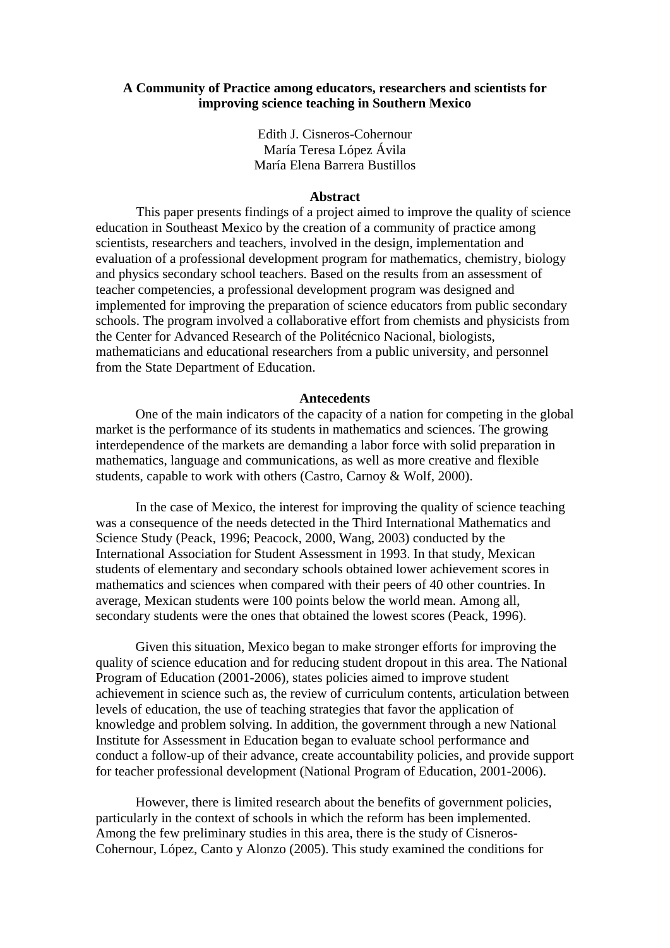# **A Community of Practice among educators, researchers and scientists for improving science teaching in Southern Mexico**

Edith J. Cisneros-Cohernour María Teresa López Ávila María Elena Barrera Bustillos

### **Abstract**

This paper presents findings of a project aimed to improve the quality of science education in Southeast Mexico by the creation of a community of practice among scientists, researchers and teachers, involved in the design, implementation and evaluation of a professional development program for mathematics, chemistry, biology and physics secondary school teachers. Based on the results from an assessment of teacher competencies, a professional development program was designed and implemented for improving the preparation of science educators from public secondary schools. The program involved a collaborative effort from chemists and physicists from the Center for Advanced Research of the Politécnico Nacional, biologists, mathematicians and educational researchers from a public university, and personnel from the State Department of Education.

### **Antecedents**

One of the main indicators of the capacity of a nation for competing in the global market is the performance of its students in mathematics and sciences. The growing interdependence of the markets are demanding a labor force with solid preparation in mathematics, language and communications, as well as more creative and flexible students, capable to work with others (Castro, Carnoy & Wolf, 2000).

In the case of Mexico, the interest for improving the quality of science teaching was a consequence of the needs detected in the Third International Mathematics and Science Study (Peack, 1996; Peacock, 2000, Wang, 2003) conducted by the International Association for Student Assessment in 1993. In that study, Mexican students of elementary and secondary schools obtained lower achievement scores in mathematics and sciences when compared with their peers of 40 other countries. In average, Mexican students were 100 points below the world mean. Among all, secondary students were the ones that obtained the lowest scores (Peack, 1996).

Given this situation, Mexico began to make stronger efforts for improving the quality of science education and for reducing student dropout in this area. The National Program of Education (2001-2006), states policies aimed to improve student achievement in science such as, the review of curriculum contents, articulation between levels of education, the use of teaching strategies that favor the application of knowledge and problem solving. In addition, the government through a new National Institute for Assessment in Education began to evaluate school performance and conduct a follow-up of their advance, create accountability policies, and provide support for teacher professional development (National Program of Education, 2001-2006).

However, there is limited research about the benefits of government policies, particularly in the context of schools in which the reform has been implemented. Among the few preliminary studies in this area, there is the study of Cisneros-Cohernour, López, Canto y Alonzo (2005). This study examined the conditions for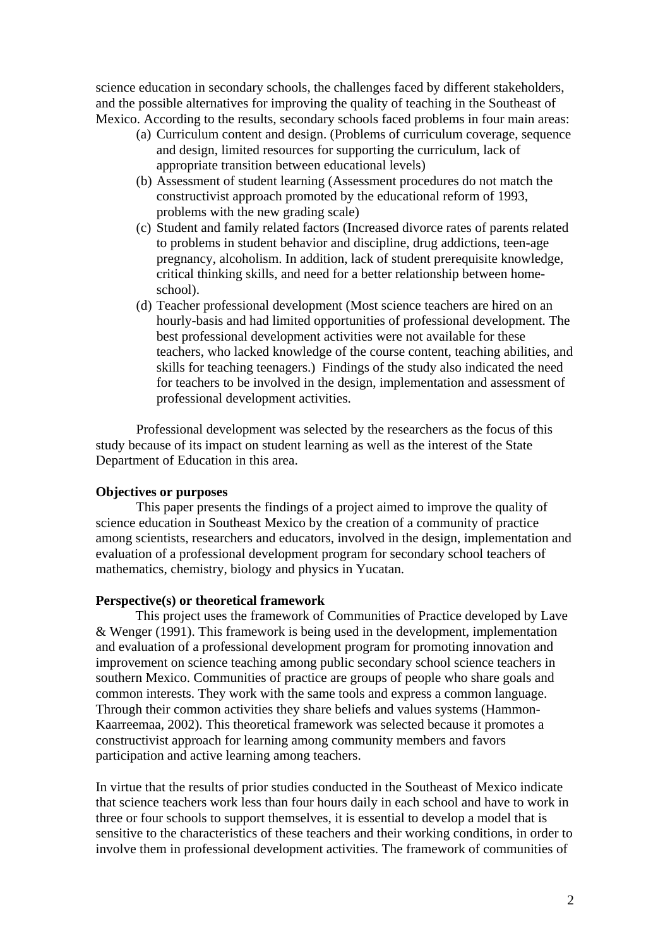science education in secondary schools, the challenges faced by different stakeholders, and the possible alternatives for improving the quality of teaching in the Southeast of Mexico. According to the results, secondary schools faced problems in four main areas:

- (a) Curriculum content and design. (Problems of curriculum coverage, sequence and design, limited resources for supporting the curriculum, lack of appropriate transition between educational levels)
- (b) Assessment of student learning (Assessment procedures do not match the constructivist approach promoted by the educational reform of 1993, problems with the new grading scale)
- (c) Student and family related factors (Increased divorce rates of parents related to problems in student behavior and discipline, drug addictions, teen-age pregnancy, alcoholism. In addition, lack of student prerequisite knowledge, critical thinking skills, and need for a better relationship between homeschool).
- (d) Teacher professional development (Most science teachers are hired on an hourly-basis and had limited opportunities of professional development. The best professional development activities were not available for these teachers, who lacked knowledge of the course content, teaching abilities, and skills for teaching teenagers.) Findings of the study also indicated the need for teachers to be involved in the design, implementation and assessment of professional development activities.

Professional development was selected by the researchers as the focus of this study because of its impact on student learning as well as the interest of the State Department of Education in this area.

# **Objectives or purposes**

This paper presents the findings of a project aimed to improve the quality of science education in Southeast Mexico by the creation of a community of practice among scientists, researchers and educators, involved in the design, implementation and evaluation of a professional development program for secondary school teachers of mathematics, chemistry, biology and physics in Yucatan.

## **Perspective(s) or theoretical framework**

This project uses the framework of Communities of Practice developed by Lave & Wenger (1991). This framework is being used in the development, implementation and evaluation of a professional development program for promoting innovation and improvement on science teaching among public secondary school science teachers in southern Mexico. Communities of practice are groups of people who share goals and common interests. They work with the same tools and express a common language. Through their common activities they share beliefs and values systems (Hammon-Kaarreemaa, 2002). This theoretical framework was selected because it promotes a constructivist approach for learning among community members and favors participation and active learning among teachers.

In virtue that the results of prior studies conducted in the Southeast of Mexico indicate that science teachers work less than four hours daily in each school and have to work in three or four schools to support themselves, it is essential to develop a model that is sensitive to the characteristics of these teachers and their working conditions, in order to involve them in professional development activities. The framework of communities of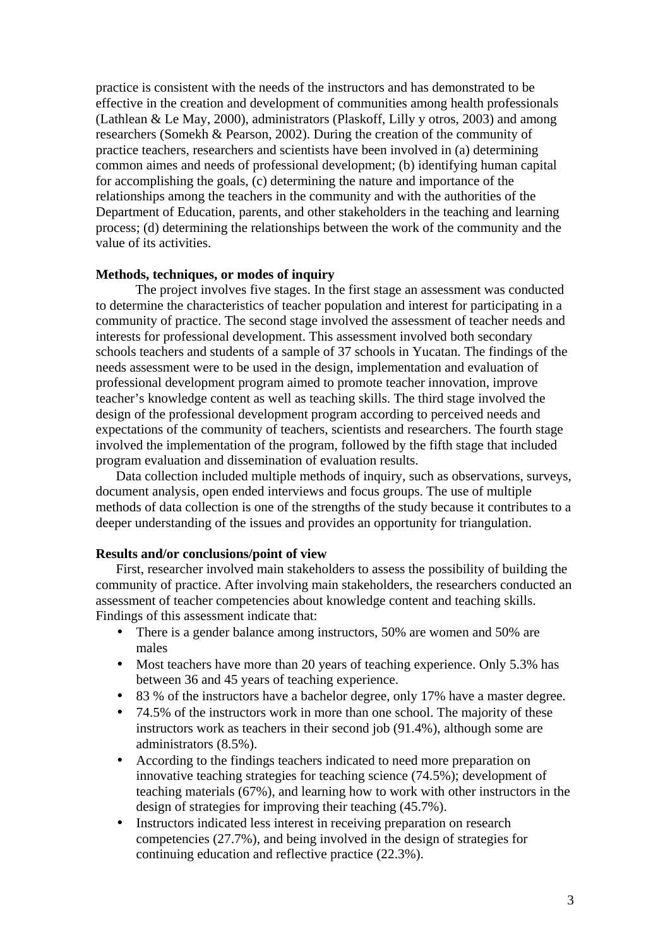practice is consistent with the needs of the instructors and has demonstrated to be effective in the creation and development of communities among health professionals (Lathlean & Le May, 2000), administrators (Plaskoff, Lilly y otros, 2003) and among researchers (Somekh & Pearson, 2002). During the creation of the community of practice teachers, researchers and scientists have been involved in (a) determining common aimes and needs of professional development; (b) identifying human capital for accomplishing the goals, (c) determining the nature and importance of the relationships among the teachers in the community and with the authorities of the Department of Education, parents, and other stakeholders in the teaching and learning process; (d) determining the relationships between the work of the community and the value of its activities.

## **Methods, techniques, or modes of inquiry**

The project involves five stages. In the first stage an assessment was conducted to determine the characteristics of teacher population and interest for participating in a community of practice. The second stage involved the assessment of teacher needs and interests for professional development. This assessment involved both secondary schools teachers and students of a sample of 37 schools in Yucatan. The findings of the needs assessment were to be used in the design, implementation and evaluation of professional development program aimed to promote teacher innovation, improve teacher's knowledge content as well as teaching skills. The third stage involved the design of the professional development program according to perceived needs and expectations of the community of teachers, scientists and researchers. The fourth stage involved the implementation of the program, followed by the fifth stage that included program evaluation and dissemination of evaluation results.

Data collection included multiple methods of inquiry, such as observations, surveys, document analysis, open ended interviews and focus groups. The use of multiple methods of data collection is one of the strengths of the study because it contributes to a deeper understanding of the issues and provides an opportunity for triangulation.

## **Results and/or conclusions/point of view**

First, researcher involved main stakeholders to assess the possibility of building the community of practice. After involving main stakeholders, the researchers conducted an assessment of teacher competencies about knowledge content and teaching skills. Findings of this assessment indicate that:

- There is a gender balance among instructors, 50% are women and 50% are males
- Most teachers have more than 20 years of teaching experience. Only 5.3% has between 36 and 45 years of teaching experience.
- 83 % of the instructors have a bachelor degree, only 17% have a master degree.
- 74.5% of the instructors work in more than one school. The majority of these instructors work as teachers in their second job (91.4%), although some are administrators (8.5%).
- According to the findings teachers indicated to need more preparation on innovative teaching strategies for teaching science (74.5%); development of teaching materials (67%), and learning how to work with other instructors in the design of strategies for improving their teaching (45.7%).
- Instructors indicated less interest in receiving preparation on research competencies (27.7%), and being involved in the design of strategies for continuing education and reflective practice (22.3%).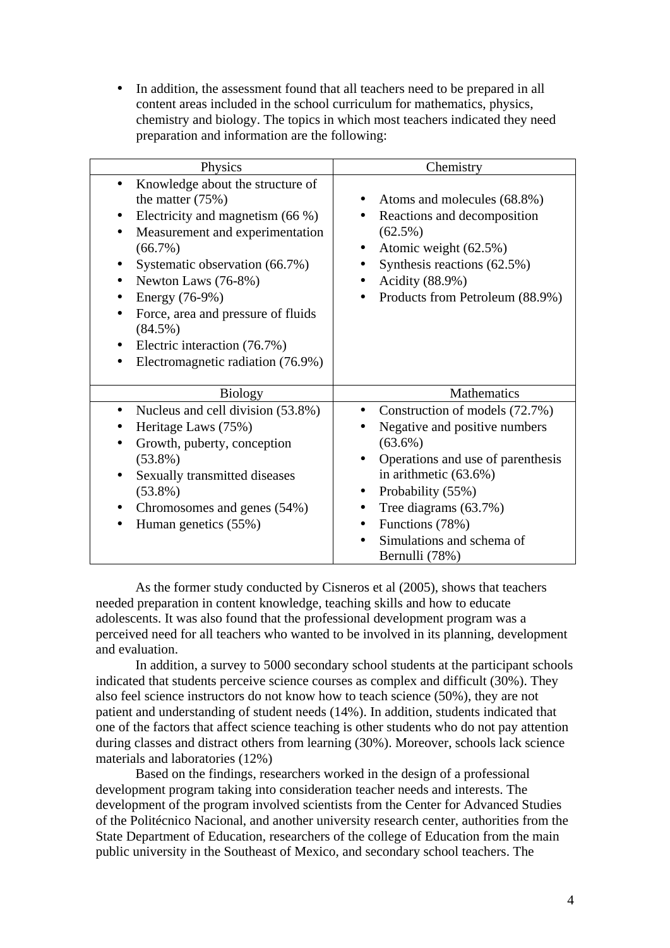• In addition, the assessment found that all teachers need to be prepared in all content areas included in the school curriculum for mathematics, physics, chemistry and biology. The topics in which most teachers indicated they need preparation and information are the following:

| Physics                                                                                                                                                                                                                                                                                                                                                                               | Chemistry                                                                                                                                                                                                                                                                                                    |
|---------------------------------------------------------------------------------------------------------------------------------------------------------------------------------------------------------------------------------------------------------------------------------------------------------------------------------------------------------------------------------------|--------------------------------------------------------------------------------------------------------------------------------------------------------------------------------------------------------------------------------------------------------------------------------------------------------------|
| Knowledge about the structure of<br>the matter $(75%)$<br>Electricity and magnetism (66 %)<br>Measurement and experimentation<br>٠<br>$(66.7\%)$<br>Systematic observation (66.7%)<br>٠<br>Newton Laws (76-8%)<br>٠<br>Energy (76-9%)<br>٠<br>Force, area and pressure of fluids<br>٠<br>$(84.5\%)$<br>Electric interaction (76.7%)<br>$\bullet$<br>Electromagnetic radiation (76.9%) | Atoms and molecules (68.8%)<br>$\bullet$<br>Reactions and decomposition<br>$(62.5\%)$<br>Atomic weight (62.5%)<br>$\bullet$<br>Synthesis reactions (62.5%)<br>$\bullet$<br>Acidity (88.9%)<br>$\bullet$<br>Products from Petroleum (88.9%)<br>٠                                                              |
| <b>Biology</b><br>Nucleus and cell division (53.8%)<br>٠<br>Heritage Laws (75%)<br>Growth, puberty, conception<br>$(53.8\%)$<br>Sexually transmitted diseases<br>$(53.8\%)$<br>Chromosomes and genes (54%)<br>Human genetics (55%)                                                                                                                                                    | Mathematics<br>Construction of models (72.7%)<br>Negative and positive numbers<br>$(63.6\%)$<br>Operations and use of parenthesis<br>in arithmetic $(63.6\%)$<br>Probability (55%)<br>$\bullet$<br>Tree diagrams (63.7%)<br>٠<br>Functions (78%)<br>$\bullet$<br>Simulations and schema of<br>Bernulli (78%) |

As the former study conducted by Cisneros et al (2005), shows that teachers needed preparation in content knowledge, teaching skills and how to educate adolescents. It was also found that the professional development program was a perceived need for all teachers who wanted to be involved in its planning, development and evaluation.

In addition, a survey to 5000 secondary school students at the participant schools indicated that students perceive science courses as complex and difficult (30%). They also feel science instructors do not know how to teach science (50%), they are not patient and understanding of student needs (14%). In addition, students indicated that one of the factors that affect science teaching is other students who do not pay attention during classes and distract others from learning (30%). Moreover, schools lack science materials and laboratories (12%)

Based on the findings, researchers worked in the design of a professional development program taking into consideration teacher needs and interests. The development of the program involved scientists from the Center for Advanced Studies of the Politécnico Nacional, and another university research center, authorities from the State Department of Education, researchers of the college of Education from the main public university in the Southeast of Mexico, and secondary school teachers. The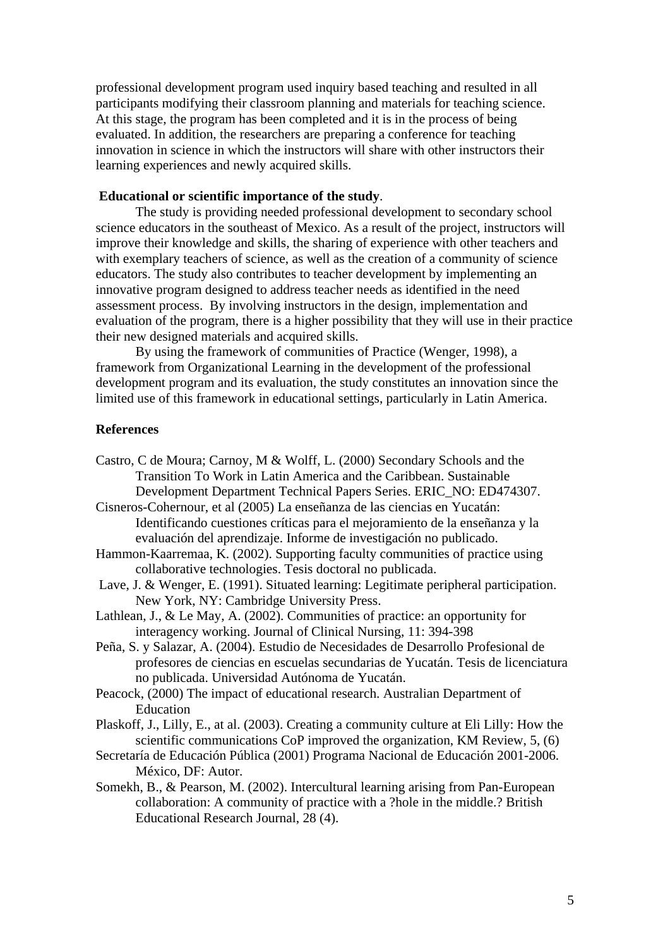professional development program used inquiry based teaching and resulted in all participants modifying their classroom planning and materials for teaching science. At this stage, the program has been completed and it is in the process of being evaluated. In addition, the researchers are preparing a conference for teaching innovation in science in which the instructors will share with other instructors their learning experiences and newly acquired skills.

## **Educational or scientific importance of the study**.

The study is providing needed professional development to secondary school science educators in the southeast of Mexico. As a result of the project, instructors will improve their knowledge and skills, the sharing of experience with other teachers and with exemplary teachers of science, as well as the creation of a community of science educators. The study also contributes to teacher development by implementing an innovative program designed to address teacher needs as identified in the need assessment process. By involving instructors in the design, implementation and evaluation of the program, there is a higher possibility that they will use in their practice their new designed materials and acquired skills.

By using the framework of communities of Practice (Wenger, 1998), a framework from Organizational Learning in the development of the professional development program and its evaluation, the study constitutes an innovation since the limited use of this framework in educational settings, particularly in Latin America.

## **References**

- Castro, C de Moura; Carnoy, M & Wolff, L. (2000) Secondary Schools and the Transition To Work in Latin America and the Caribbean. Sustainable Development Department Technical Papers Series. ERIC\_NO: ED474307.
- Cisneros-Cohernour, et al (2005) La enseñanza de las ciencias en Yucatán: Identificando cuestiones críticas para el mejoramiento de la enseñanza y la evaluación del aprendizaje. Informe de investigación no publicado.
- Hammon-Kaarremaa, K. (2002). Supporting faculty communities of practice using collaborative technologies. Tesis doctoral no publicada.
- Lave, J. & Wenger, E. (1991). Situated learning: Legitimate peripheral participation. New York, NY: Cambridge University Press.
- Lathlean, J., & Le May, A. (2002). Communities of practice: an opportunity for interagency working. Journal of Clinical Nursing, 11: 394-398
- Peña, S. y Salazar, A. (2004). Estudio de Necesidades de Desarrollo Profesional de profesores de ciencias en escuelas secundarias de Yucatán. Tesis de licenciatura no publicada. Universidad Autónoma de Yucatán.
- Peacock, (2000) The impact of educational research. Australian Department of Education
- Plaskoff, J., Lilly, E., at al. (2003). Creating a community culture at Eli Lilly: How the scientific communications CoP improved the organization, KM Review, 5, (6)
- Secretaría de Educación Pública (2001) Programa Nacional de Educación 2001-2006. México, DF: Autor.
- Somekh, B., & Pearson, M. (2002). Intercultural learning arising from Pan-European collaboration: A community of practice with a ?hole in the middle.? British Educational Research Journal, 28 (4).